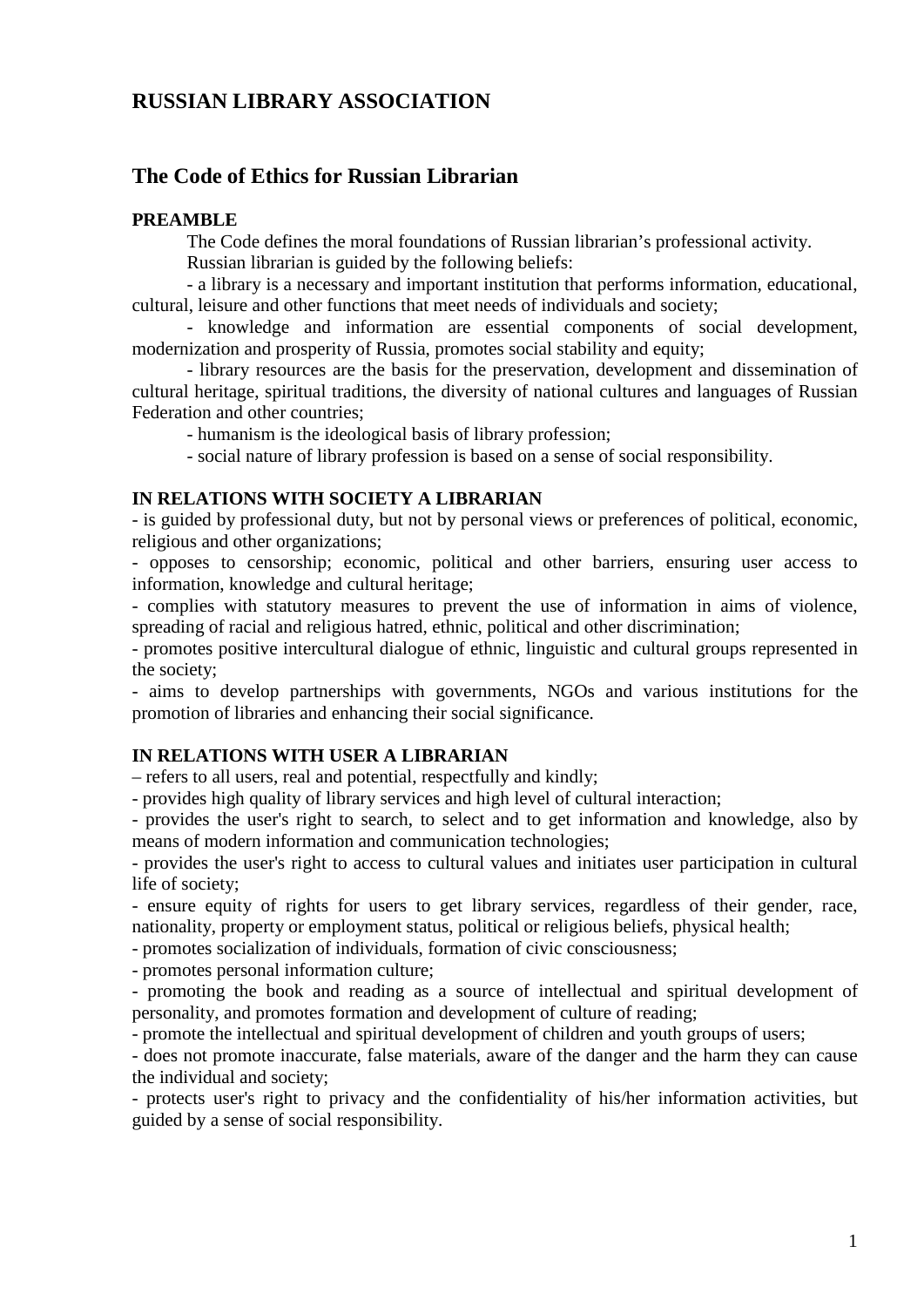# **RUSSIAN LIBRARY ASSOCIATION**

# **The Code of Ethics for Russian Librarian**

#### **PREAMBLE**

The Code defines the moral foundations of Russian librarian's professional activity.

Russian librarian is guided by the following beliefs:

- a library is a necessary and important institution that performs information, educational, cultural, leisure and other functions that meet needs of individuals and society;

- knowledge and information are essential components of social development, modernization and prosperity of Russia, promotes social stability and equity;

- library resources are the basis for the preservation, development and dissemination of cultural heritage, spiritual traditions, the diversity of national cultures and languages of Russian Federation and other countries;

- humanism is the ideological basis of library profession;

- social nature of library profession is based on a sense of social responsibility.

#### **IN RELATIONS WITH SOCIETY A LIBRARIAN**

- is guided by professional duty, but not by personal views or preferences of political, economic, religious and other organizations;

- opposes to censorship; economic, political and other barriers, ensuring user access to information, knowledge and cultural heritage;

- complies with statutory measures to prevent the use of information in aims of violence, spreading of racial and religious hatred, ethnic, political and other discrimination;

- promotes positive intercultural dialogue of ethnic, linguistic and cultural groups represented in the society;

- aims to develop partnerships with governments, NGOs and various institutions for the promotion of libraries and enhancing their social significance.

### **IN RELATIONS WITH USER A LIBRARIAN**

– refers to all users, real and potential, respectfully and kindly;

- provides high quality of library services and high level of cultural interaction;

- provides the user's right to search, to select and to get information and knowledge, also by means of modern information and communication technologies;

- provides the user's right to access to cultural values and initiates user participation in cultural life of society;

- ensure equity of rights for users to get library services, regardless of their gender, race, nationality, property or employment status, political or religious beliefs, physical health;

- promotes socialization of individuals, formation of civic consciousness;

- promotes personal information culture;

- promoting the book and reading as a source of intellectual and spiritual development of personality, and promotes formation and development of culture of reading;

- promote the intellectual and spiritual development of children and youth groups of users;

- does not promote inaccurate, false materials, aware of the danger and the harm they can cause the individual and society;

- protects user's right to privacy and the confidentiality of his/her information activities, but guided by a sense of social responsibility.